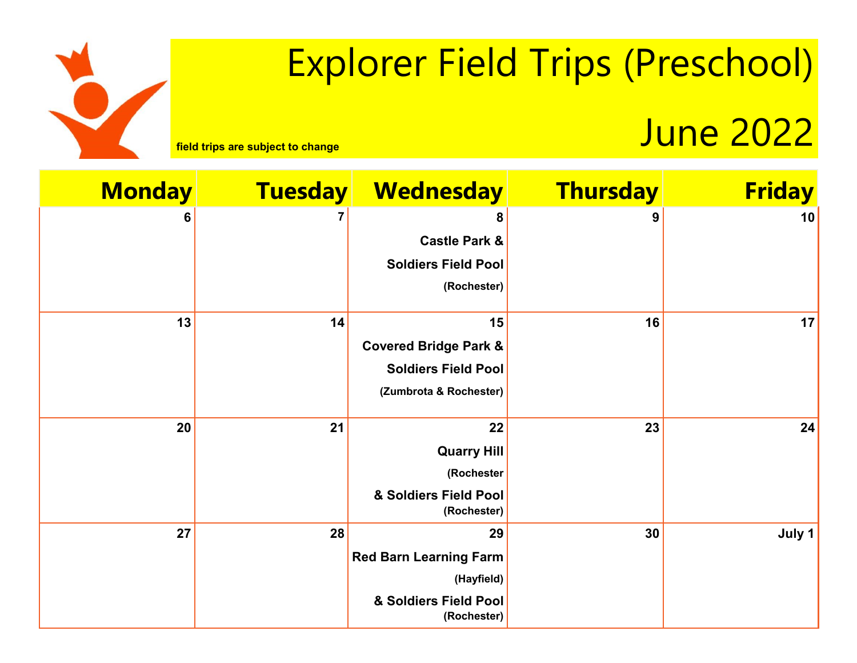# Explorer Field Trips (Preschool)

## **Field trips are subject to change** June 2022

| <b>Friday</b> | <b>Thursday</b> | <b>Wednesday</b>                     | <b>Tuesday</b> | <b>Monday</b> |
|---------------|-----------------|--------------------------------------|----------------|---------------|
| 10            | 9               | 8                                    |                | 6             |
|               |                 | <b>Castle Park &amp;</b>             |                |               |
|               |                 | <b>Soldiers Field Pool</b>           |                |               |
|               |                 | (Rochester)                          |                |               |
| 17            | 16              | 15                                   | 14             | 13            |
|               |                 | <b>Covered Bridge Park &amp;</b>     |                |               |
|               |                 | <b>Soldiers Field Pool</b>           |                |               |
|               |                 | (Zumbrota & Rochester)               |                |               |
| 24            | 23              | 22                                   | 21             | 20            |
|               |                 | <b>Quarry Hill</b>                   |                |               |
|               |                 | (Rochester                           |                |               |
|               |                 | & Soldiers Field Pool<br>(Rochester) |                |               |
| July 1        | 30              | 29                                   | 28             | 27            |
|               |                 | <b>Red Barn Learning Farm</b>        |                |               |
|               |                 | (Hayfield)                           |                |               |
|               |                 | & Soldiers Field Pool<br>(Rochester) |                |               |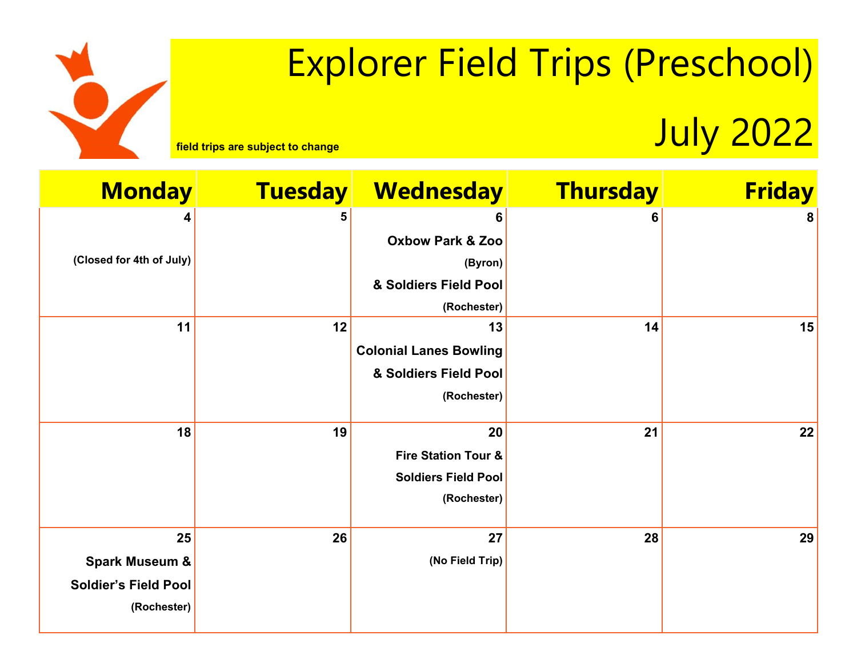# Explorer Field Trips (Preschool)

**Field trips are subject to change** July 2022

| <b>Monday</b>               | <b>Tuesday</b> | <b>Wednesday</b>                                             | <b>Thursday</b> | <b>Friday</b> |
|-----------------------------|----------------|--------------------------------------------------------------|-----------------|---------------|
| 4                           | 5              | 6                                                            | 6               | 8             |
|                             |                | <b>Oxbow Park &amp; Zoo</b>                                  |                 |               |
| (Closed for 4th of July)    |                | (Byron)                                                      |                 |               |
|                             |                | & Soldiers Field Pool                                        |                 |               |
|                             |                | (Rochester)                                                  |                 |               |
| 11                          | 12             | 13                                                           | 14              | 15            |
|                             |                | <b>Colonial Lanes Bowling</b>                                |                 |               |
|                             |                | & Soldiers Field Pool                                        |                 |               |
|                             |                | (Rochester)                                                  |                 |               |
|                             | 19             | 20                                                           | 21              |               |
| 18                          |                |                                                              |                 | 22            |
|                             |                | <b>Fire Station Tour &amp;</b><br><b>Soldiers Field Pool</b> |                 |               |
|                             |                | (Rochester)                                                  |                 |               |
|                             |                |                                                              |                 |               |
| 25                          | 26             | 27                                                           | 28              | 29            |
| <b>Spark Museum &amp;</b>   |                | (No Field Trip)                                              |                 |               |
| <b>Soldier's Field Pool</b> |                |                                                              |                 |               |
| (Rochester)                 |                |                                                              |                 |               |
|                             |                |                                                              |                 |               |